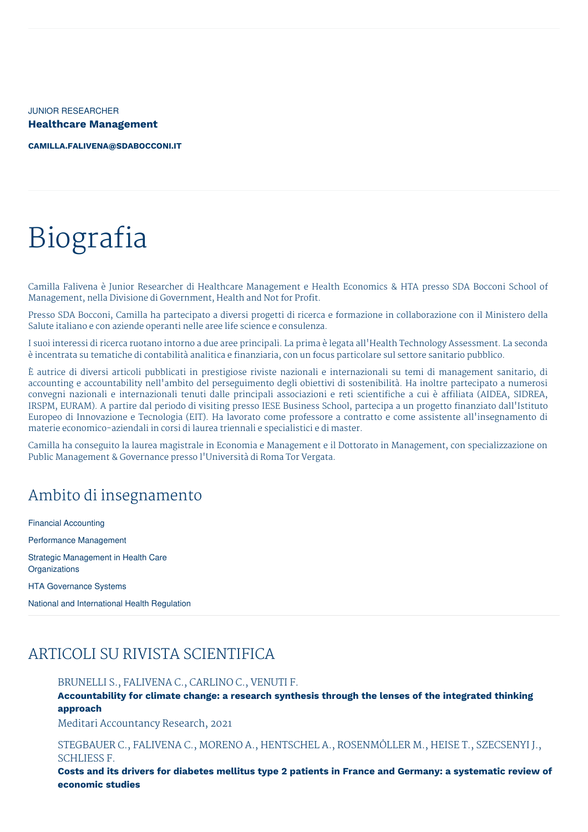JUNIOR RESEARCHER **Healthcare Management**

**[CAMILLA.FALIVENA@SDABOCCONI.IT](mailto:camilla.falivena@sdabocconi.it)**

# Biografia

Camilla Falivena è Junior Researcher di Healthcare Management e Health Economics & HTA presso SDA Bocconi School of Management, nella Divisione di Government, Health and Not for Profit.

Presso SDA Bocconi, Camilla ha partecipato a diversi progetti di ricerca e formazione in collaborazione con il Ministero della Salute italiano e con aziende operanti nelle aree life science e consulenza.

I suoi interessi di ricerca ruotano intorno a due aree principali. La prima è legata all'Health Technology Assessment. La seconda è incentrata su tematiche di contabilità analitica e finanziaria, con un focus particolare sul settore sanitario pubblico.

È autrice di diversi articoli pubblicati in prestigiose riviste nazionali e internazionali su temi di management sanitario, di accounting e accountability nell'ambito del perseguimento degli obiettivi di sostenibilità. Ha inoltre partecipato a numerosi convegni nazionali e internazionali tenuti dalle principali associazioni e reti scientifiche a cui è affiliata (AIDEA, SIDREA, IRSPM, EURAM). A partire dal periodo di visiting presso IESE Business School, partecipa a un progetto finanziato dall'Istituto Europeo di Innovazione e Tecnologia (EIT). Ha lavorato come professore a contratto e come assistente all'insegnamento di materie economico-aziendali in corsi di laurea triennali e specialistici e di master.

Camilla ha conseguito la laurea magistrale in Economia e Management e il Dottorato in Management, con specializzazione on Public Management & Governance presso l'Università di Roma Tor Vergata.

# Ambito di insegnamento

Financial Accounting Performance Management Strategic Management in Health Care **Organizations** 

HTA Governance Systems

National and International Health Regulation

# ARTICOLI SU RIVISTA SCIENTIFICA

BRUNELLI S., FALIVENA C., CARLINO C., VENUTI F.

**Accountability for climate change: a research synthesis through the lenses of the integrated thinking approach**

Meditari Accountancy Research, 2021

STEGBAUER C., FALIVENA C., MORENO A., HENTSCHEL A., ROSENMÖLLER M., HEISE T., SZECSENYI J., SCHLIESS F.

Costs and its drivers for diabetes mellitus type 2 patients in France and Germany: a systematic review of **economic studies**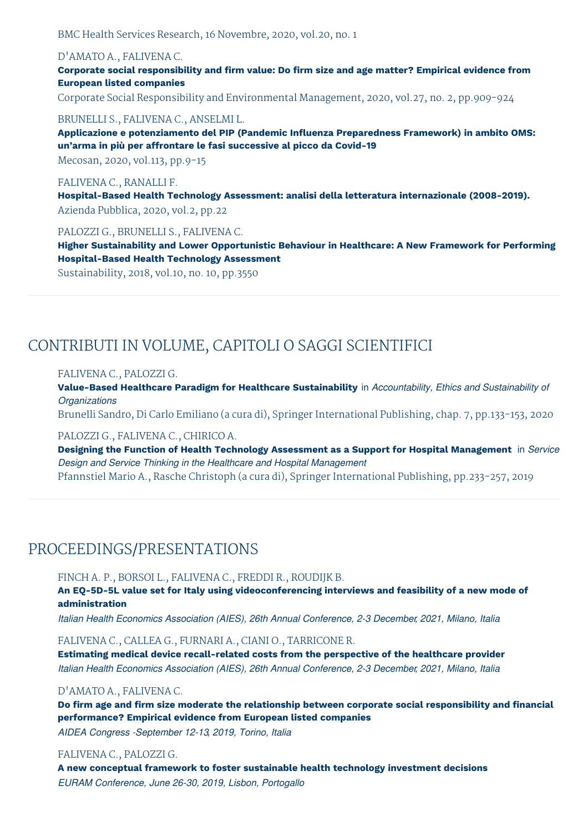BMC Health Services Research, 16 Novembre, 2020, vol.20, no. 1

# D'AMATO A., FALIVENA C.

**Corporate social responsibility and firm value: Do firm size and age matter? Empirical evidence from European listed companies**

Corporate Social Responsibility and Environmental Management, 2020, vol.27, no. 2, pp.909-924

#### BRUNELLI S., FALIVENA C., ANSELMI L.

**Applicazione e potenziamento del PIP (Pandemic Influenza Preparedness Framework) in ambito OMS: un'arma in più per affrontare le fasi successive al picco da Covid-19**

Mecosan, 2020, vol.113, pp.9-15

# FALIVENA C., RANALLI F.

**Hospital-Based Health Technology Assessment: analisi della letteratura internazionale (2008-2019).** Azienda Pubblica, 2020, vol.2, pp.22

## PALOZZI G., BRUNELLI S., FALIVENA C.

**Higher Sustainability and Lower Opportunistic Behaviour in Healthcare: A New Framework for Performing Hospital-Based Health Technology Assessment**

Sustainability, 2018, vol.10, no. 10, pp.3550

# CONTRIBUTI IN VOLUME, CAPITOLI O SAGGI SCIENTIFICI

#### FALIVENA C., PALOZZI G.

**Value-Based Healthcare Paradigm for Healthcare Sustainability** in *Accountability, Ethics and Sustainability of Organizations*

Brunelli Sandro, Di Carlo Emiliano (a cura di), Springer International Publishing, chap. 7, pp.133-153, 2020

#### PALOZZI G., FALIVENA C., CHIRICO A.

**Designing the Function of Health Technology Assessment as a Support for Hospital Management** in *Service Design and Service Thinking in the Healthcare and Hospital Management*

Pfannstiel Mario A., Rasche Christoph (a cura di), Springer International Publishing, pp.233-257, 2019

# PROCEEDINGS/PRESENTATIONS

# FINCH A. P., BORSOI L., FALIVENA C., FREDDI R., ROUDIJK B.

**An EQ-5D-5L value set for Italy using videoconferencing interviews and feasibility of a new mode of administration**

*Italian Health Economics Association (AIES), 26th Annual Conference, 2-3 December, 2021, Milano, Italia*

FALIVENA C., CALLEA G., FURNARI A., CIANI O., TARRICONE R.

**Estimating medical device recall-related costs from the perspective of the healthcare provider** *Italian Health Economics Association (AIES), 26th Annual Conference, 2-3 December, 2021, Milano, Italia*

#### D'AMATO A., FALIVENA C.

**Do firm age and firm size moderate the relationship between corporate social responsibility and financial performance? Empirical evidence from European listed companies**

*AIDEA Congress -September 12-13, 2019, Torino, Italia*

#### FALIVENA C., PALOZZI G.

**A new conceptual framework to foster sustainable health technology investment decisions** *EURAM Conference, June 26-30, 2019, Lisbon, Portogallo*